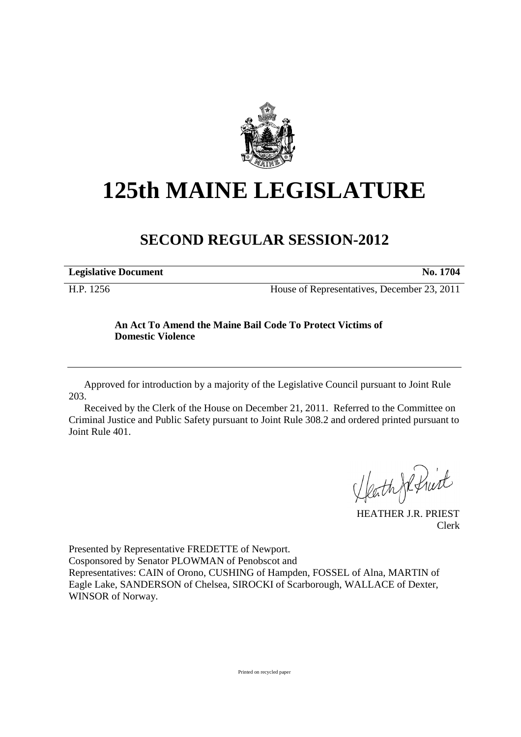

## **125th MAINE LEGISLATURE**

## **SECOND REGULAR SESSION-2012**

| <b>Legislative Document</b> | No. 1704 |
|-----------------------------|----------|
|                             |          |

H.P. 1256 House of Representatives, December 23, 2011

## **An Act To Amend the Maine Bail Code To Protect Victims of Domestic Violence**

Approved for introduction by a majority of the Legislative Council pursuant to Joint Rule 203.

Received by the Clerk of the House on December 21, 2011. Referred to the Committee on Criminal Justice and Public Safety pursuant to Joint Rule 308.2 and ordered printed pursuant to Joint Rule 401.

HeathJefruit

HEATHER J.R. PRIEST Clerk

Presented by Representative FREDETTE of Newport. Cosponsored by Senator PLOWMAN of Penobscot and Representatives: CAIN of Orono, CUSHING of Hampden, FOSSEL of Alna, MARTIN of Eagle Lake, SANDERSON of Chelsea, SIROCKI of Scarborough, WALLACE of Dexter, WINSOR of Norway.

Printed on recycled paper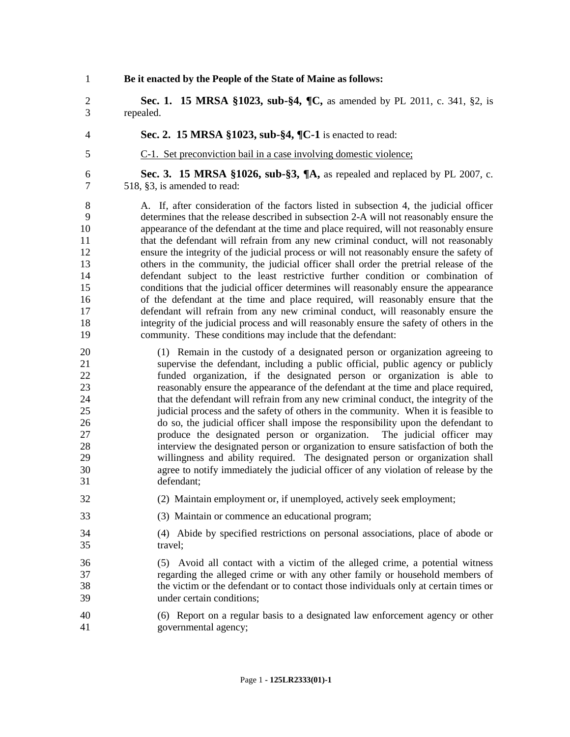| $\mathbf{1}$         | Be it enacted by the People of the State of Maine as follows:                                                                                                                                                                                                                         |
|----------------------|---------------------------------------------------------------------------------------------------------------------------------------------------------------------------------------------------------------------------------------------------------------------------------------|
| $\mathbf{2}$         | Sec. 1. 15 MRSA §1023, sub-§4, ¶C, as amended by PL 2011, c. 341, §2, is                                                                                                                                                                                                              |
| 3                    | repealed.                                                                                                                                                                                                                                                                             |
| 4                    | Sec. 2. 15 MRSA §1023, sub-§4, ¶C-1 is enacted to read:                                                                                                                                                                                                                               |
| 5                    | C-1. Set preconviction bail in a case involving domestic violence:                                                                                                                                                                                                                    |
| 6                    | Sec. 3. 15 MRSA §1026, sub-§3, $\P$ A, as repealed and replaced by PL 2007, c.                                                                                                                                                                                                        |
| 7                    | 518, §3, is amended to read:                                                                                                                                                                                                                                                          |
| 8                    | A. If, after consideration of the factors listed in subsection 4, the judicial officer                                                                                                                                                                                                |
| 9                    | determines that the release described in subsection 2-A will not reasonably ensure the                                                                                                                                                                                                |
| 10                   | appearance of the defendant at the time and place required, will not reasonably ensure                                                                                                                                                                                                |
| 11                   | that the defendant will refrain from any new criminal conduct, will not reasonably                                                                                                                                                                                                    |
| 12                   | ensure the integrity of the judicial process or will not reasonably ensure the safety of                                                                                                                                                                                              |
| 13                   | others in the community, the judicial officer shall order the pretrial release of the                                                                                                                                                                                                 |
| 14                   | defendant subject to the least restrictive further condition or combination of                                                                                                                                                                                                        |
| 15                   | conditions that the judicial officer determines will reasonably ensure the appearance                                                                                                                                                                                                 |
| 16                   | of the defendant at the time and place required, will reasonably ensure that the                                                                                                                                                                                                      |
| 17                   | defendant will refrain from any new criminal conduct, will reasonably ensure the                                                                                                                                                                                                      |
| 18                   | integrity of the judicial process and will reasonably ensure the safety of others in the                                                                                                                                                                                              |
| 19                   | community. These conditions may include that the defendant:                                                                                                                                                                                                                           |
| 20                   | (1) Remain in the custody of a designated person or organization agreeing to                                                                                                                                                                                                          |
| 21                   | supervise the defendant, including a public official, public agency or publicly                                                                                                                                                                                                       |
| 22                   | funded organization, if the designated person or organization is able to                                                                                                                                                                                                              |
| 23                   | reasonably ensure the appearance of the defendant at the time and place required,                                                                                                                                                                                                     |
| 24                   | that the defendant will refrain from any new criminal conduct, the integrity of the                                                                                                                                                                                                   |
| 25                   | judicial process and the safety of others in the community. When it is feasible to                                                                                                                                                                                                    |
| 26                   | do so, the judicial officer shall impose the responsibility upon the defendant to                                                                                                                                                                                                     |
| 27                   | produce the designated person or organization. The judicial officer may                                                                                                                                                                                                               |
| 28                   | interview the designated person or organization to ensure satisfaction of both the                                                                                                                                                                                                    |
| 29                   | willingness and ability required. The designated person or organization shall                                                                                                                                                                                                         |
| 30                   | agree to notify immediately the judicial officer of any violation of release by the                                                                                                                                                                                                   |
| 31                   | defendant;                                                                                                                                                                                                                                                                            |
| 32                   | (2) Maintain employment or, if unemployed, actively seek employment;                                                                                                                                                                                                                  |
| 33                   | (3) Maintain or commence an educational program;                                                                                                                                                                                                                                      |
| 34                   | (4) Abide by specified restrictions on personal associations, place of abode or                                                                                                                                                                                                       |
| 35                   | travel;                                                                                                                                                                                                                                                                               |
| 36<br>37<br>38<br>39 | Avoid all contact with a victim of the alleged crime, a potential witness<br>(5)<br>regarding the alleged crime or with any other family or household members of<br>the victim or the defendant or to contact those individuals only at certain times or<br>under certain conditions; |
| 40                   | (6) Report on a regular basis to a designated law enforcement agency or other                                                                                                                                                                                                         |
| 41                   | governmental agency;                                                                                                                                                                                                                                                                  |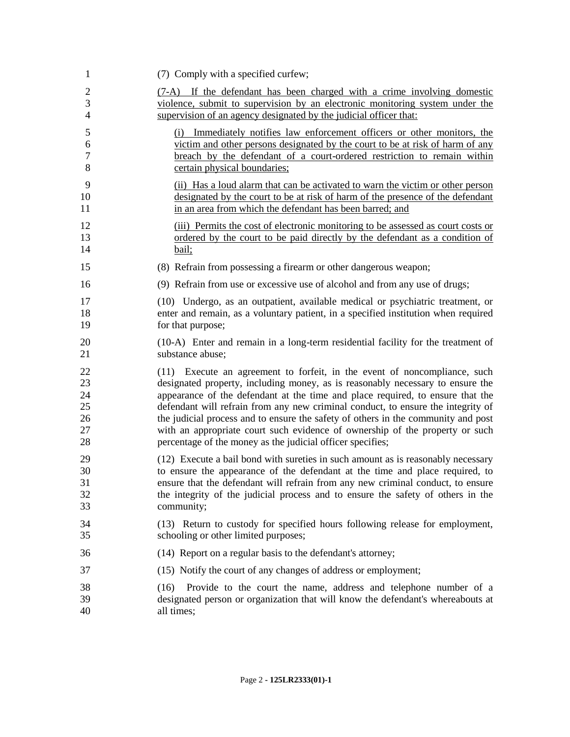| 1                                      | (7) Comply with a specified curfew;                                                                                                                                                                                                                                                                                                                                                                                                                                                                                                                                     |
|----------------------------------------|-------------------------------------------------------------------------------------------------------------------------------------------------------------------------------------------------------------------------------------------------------------------------------------------------------------------------------------------------------------------------------------------------------------------------------------------------------------------------------------------------------------------------------------------------------------------------|
| $\overline{2}$                         | (7-A) If the defendant has been charged with a crime involving domestic                                                                                                                                                                                                                                                                                                                                                                                                                                                                                                 |
| 3                                      | violence, submit to supervision by an electronic monitoring system under the                                                                                                                                                                                                                                                                                                                                                                                                                                                                                            |
| $\overline{4}$                         | supervision of an agency designated by the judicial officer that:                                                                                                                                                                                                                                                                                                                                                                                                                                                                                                       |
| 5                                      | (i) Immediately notifies law enforcement officers or other monitors, the                                                                                                                                                                                                                                                                                                                                                                                                                                                                                                |
| 6                                      | victim and other persons designated by the court to be at risk of harm of any                                                                                                                                                                                                                                                                                                                                                                                                                                                                                           |
| $\tau$                                 | breach by the defendant of a court-ordered restriction to remain within                                                                                                                                                                                                                                                                                                                                                                                                                                                                                                 |
| 8                                      | certain physical boundaries;                                                                                                                                                                                                                                                                                                                                                                                                                                                                                                                                            |
| 9                                      | (ii) Has a loud alarm that can be activated to warn the victim or other person                                                                                                                                                                                                                                                                                                                                                                                                                                                                                          |
| 10                                     | designated by the court to be at risk of harm of the presence of the defendant                                                                                                                                                                                                                                                                                                                                                                                                                                                                                          |
| 11                                     | in an area from which the defendant has been barred; and                                                                                                                                                                                                                                                                                                                                                                                                                                                                                                                |
| 12                                     | (iii) Permits the cost of electronic monitoring to be assessed as court costs or                                                                                                                                                                                                                                                                                                                                                                                                                                                                                        |
| 13                                     | ordered by the court to be paid directly by the defendant as a condition of                                                                                                                                                                                                                                                                                                                                                                                                                                                                                             |
| 14                                     | bail;                                                                                                                                                                                                                                                                                                                                                                                                                                                                                                                                                                   |
| 15                                     | (8) Refrain from possessing a firearm or other dangerous weapon;                                                                                                                                                                                                                                                                                                                                                                                                                                                                                                        |
| 16                                     | (9) Refrain from use or excessive use of alcohol and from any use of drugs;                                                                                                                                                                                                                                                                                                                                                                                                                                                                                             |
| 17                                     | (10) Undergo, as an outpatient, available medical or psychiatric treatment, or                                                                                                                                                                                                                                                                                                                                                                                                                                                                                          |
| 18                                     | enter and remain, as a voluntary patient, in a specified institution when required                                                                                                                                                                                                                                                                                                                                                                                                                                                                                      |
| 19                                     | for that purpose;                                                                                                                                                                                                                                                                                                                                                                                                                                                                                                                                                       |
| 20                                     | (10-A) Enter and remain in a long-term residential facility for the treatment of                                                                                                                                                                                                                                                                                                                                                                                                                                                                                        |
| 21                                     | substance abuse;                                                                                                                                                                                                                                                                                                                                                                                                                                                                                                                                                        |
| 22<br>23<br>24<br>25<br>26<br>27<br>28 | Execute an agreement to forfeit, in the event of noncompliance, such<br>(11)<br>designated property, including money, as is reasonably necessary to ensure the<br>appearance of the defendant at the time and place required, to ensure that the<br>defendant will refrain from any new criminal conduct, to ensure the integrity of<br>the judicial process and to ensure the safety of others in the community and post<br>with an appropriate court such evidence of ownership of the property or such<br>percentage of the money as the judicial officer specifies; |
| 29                                     | (12) Execute a bail bond with sureties in such amount as is reasonably necessary                                                                                                                                                                                                                                                                                                                                                                                                                                                                                        |
| 30                                     | to ensure the appearance of the defendant at the time and place required, to                                                                                                                                                                                                                                                                                                                                                                                                                                                                                            |
| 31                                     | ensure that the defendant will refrain from any new criminal conduct, to ensure                                                                                                                                                                                                                                                                                                                                                                                                                                                                                         |
| 32                                     | the integrity of the judicial process and to ensure the safety of others in the                                                                                                                                                                                                                                                                                                                                                                                                                                                                                         |
| 33                                     | community;                                                                                                                                                                                                                                                                                                                                                                                                                                                                                                                                                              |
| 34                                     | (13) Return to custody for specified hours following release for employment,                                                                                                                                                                                                                                                                                                                                                                                                                                                                                            |
| 35                                     | schooling or other limited purposes;                                                                                                                                                                                                                                                                                                                                                                                                                                                                                                                                    |
| 36                                     | (14) Report on a regular basis to the defendant's attorney;                                                                                                                                                                                                                                                                                                                                                                                                                                                                                                             |
| 37                                     | (15) Notify the court of any changes of address or employment;                                                                                                                                                                                                                                                                                                                                                                                                                                                                                                          |
| 38<br>39<br>40                         | Provide to the court the name, address and telephone number of a<br>(16)<br>designated person or organization that will know the defendant's whereabouts at<br>all times;                                                                                                                                                                                                                                                                                                                                                                                               |